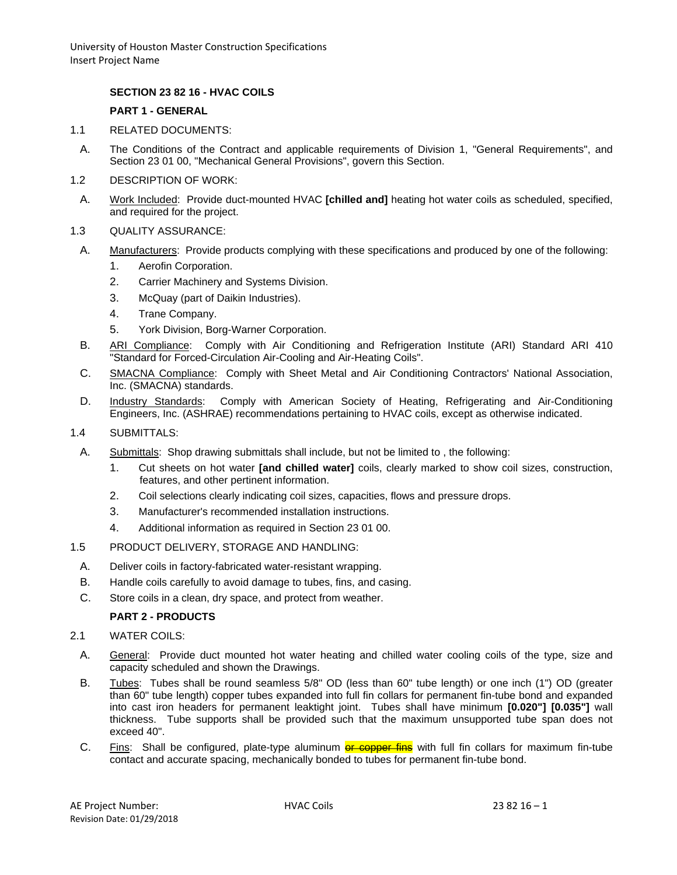University of Houston Master Construction Specifications Insert Project Name

## **SECTION 23 82 16 - HVAC COILS**

#### **PART 1 - GENERAL**

- 1.1 RELATED DOCUMENTS:
	- A. The Conditions of the Contract and applicable requirements of Division 1, "General Requirements", and Section 23 01 00, "Mechanical General Provisions", govern this Section.
- 1.2 DESCRIPTION OF WORK:
- A. Work Included: Provide duct-mounted HVAC **[chilled and]** heating hot water coils as scheduled, specified, and required for the project.
- 1.3 QUALITY ASSURANCE:
- A. Manufacturers: Provide products complying with these specifications and produced by one of the following:
	- 1. Aerofin Corporation.
	- 2. Carrier Machinery and Systems Division.
	- 3. McQuay (part of Daikin Industries).
	- 4. Trane Company.
	- 5. York Division, Borg-Warner Corporation.
- B. ARI Compliance: Comply with Air Conditioning and Refrigeration Institute (ARI) Standard ARI 410 "Standard for Forced-Circulation Air-Cooling and Air-Heating Coils".
- C. SMACNA Compliance: Comply with Sheet Metal and Air Conditioning Contractors' National Association, Inc. (SMACNA) standards.
- D. Industry Standards: Comply with American Society of Heating, Refrigerating and Air-Conditioning Engineers, Inc. (ASHRAE) recommendations pertaining to HVAC coils, except as otherwise indicated.
- 1.4 SUBMITTALS:
	- A. Submittals: Shop drawing submittals shall include, but not be limited to , the following:
		- 1. Cut sheets on hot water **[and chilled water]** coils, clearly marked to show coil sizes, construction, features, and other pertinent information.
		- 2. Coil selections clearly indicating coil sizes, capacities, flows and pressure drops.
		- 3. Manufacturer's recommended installation instructions.
		- 4. Additional information as required in Section 23 01 00.
- 1.5 PRODUCT DELIVERY, STORAGE AND HANDLING:
	- A. Deliver coils in factory-fabricated water-resistant wrapping.
	- B. Handle coils carefully to avoid damage to tubes, fins, and casing.
	- C. Store coils in a clean, dry space, and protect from weather.

#### **PART 2 - PRODUCTS**

- 2.1 WATER COILS:
	- A. General: Provide duct mounted hot water heating and chilled water cooling coils of the type, size and capacity scheduled and shown the Drawings.
	- B. Tubes: Tubes shall be round seamless 5/8" OD (less than 60" tube length) or one inch (1") OD (greater than 60" tube length) copper tubes expanded into full fin collars for permanent fin-tube bond and expanded into cast iron headers for permanent leaktight joint. Tubes shall have minimum **[0.020"] [0.035"]** wall thickness. Tube supports shall be provided such that the maximum unsupported tube span does not exceed 40".
	- C. Fins: Shall be configured, plate-type aluminum **or copper fins** with full fin collars for maximum fin-tube contact and accurate spacing, mechanically bonded to tubes for permanent fin-tube bond.